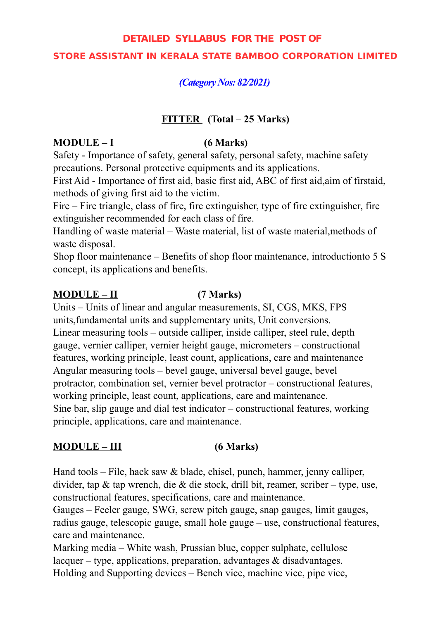## **DETAILED SYLLABUS FOR THE POST OF**

## **STORE ASSISTANT IN KERALA STATE BAMBOO CORPORATION LIMITED**

## *(Category Nos: 82/2021)*

## **FITTER (Total – 25 Marks)**

## **MODULE – I (6 Marks)**

Safety - Importance of safety, general safety, personal safety, machine safety precautions. Personal protective equipments and its applications.

First Aid - Importance of first aid, basic first aid, ABC of first aid,aim of firstaid, methods of giving first aid to the victim.

Fire – Fire triangle, class of fire, fire extinguisher, type of fire extinguisher, fire extinguisher recommended for each class of fire.

Handling of waste material – Waste material, list of waste material, methods of waste disposal.

Shop floor maintenance – Benefits of shop floor maintenance, introductionto 5 S concept, its applications and benefits.

## **MODULE – II (7 Marks)**

Units – Units of linear and angular measurements, SI, CGS, MKS, FPS units,fundamental units and supplementary units, Unit conversions. Linear measuring tools – outside calliper, inside calliper, steel rule, depth gauge, vernier calliper, vernier height gauge, micrometers – constructional features, working principle, least count, applications, care and maintenance Angular measuring tools – bevel gauge, universal bevel gauge, bevel protractor, combination set, vernier bevel protractor – constructional features, working principle, least count, applications, care and maintenance. Sine bar, slip gauge and dial test indicator – constructional features, working principle, applications, care and maintenance.

# **MODULE – III (6 Marks)**

Hand tools – File, hack saw & blade, chisel, punch, hammer, jenny calliper, divider, tap & tap wrench, die & die stock, drill bit, reamer, scriber – type, use, constructional features, specifications, care and maintenance.

Gauges – Feeler gauge, SWG, screw pitch gauge, snap gauges, limit gauges, radius gauge, telescopic gauge, small hole gauge – use, constructional features, care and maintenance.

Marking media – White wash, Prussian blue, copper sulphate, cellulose lacquer – type, applications, preparation, advantages  $\&$  disadvantages. Holding and Supporting devices – Bench vice, machine vice, pipe vice,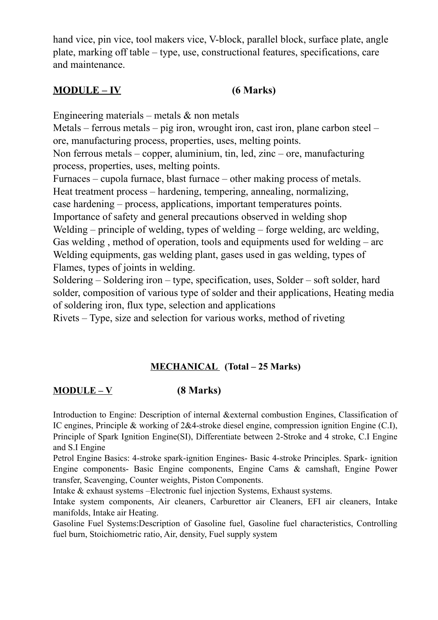hand vice, pin vice, tool makers vice, V-block, parallel block, surface plate, angle plate, marking off table – type, use, constructional features, specifications, care and maintenance.

# **MODULE – IV (6 Marks)**

Engineering materials – metals  $\&$  non metals

Metals – ferrous metals – pig iron, wrought iron, cast iron, plane carbon steel – ore, manufacturing process, properties, uses, melting points.

Non ferrous metals – copper, aluminium, tin, led, zinc – ore, manufacturing process, properties, uses, melting points.

Furnaces – cupola furnace, blast furnace – other making process of metals. Heat treatment process – hardening, tempering, annealing, normalizing,

case hardening – process, applications, important temperatures points. Importance of safety and general precautions observed in welding shop Welding – principle of welding, types of welding – forge welding, arc welding, Gas welding , method of operation, tools and equipments used for welding – arc Welding equipments, gas welding plant, gases used in gas welding, types of Flames, types of joints in welding.

Soldering – Soldering iron – type, specification, uses, Solder – soft solder, hard solder, composition of various type of solder and their applications, Heating media of soldering iron, flux type, selection and applications

Rivets – Type, size and selection for various works, method of riveting

# **MECHANICAL (Total – 25 Marks)**

# **MODULE – V (8 Marks)**

Introduction to Engine: Description of internal &external combustion Engines, Classification of IC engines, Principle & working of 2&4-stroke diesel engine, compression ignition Engine (C.I), Principle of Spark Ignition Engine(SI), Differentiate between 2-Stroke and 4 stroke, C.I Engine and S.I Engine

Petrol Engine Basics: 4-stroke spark-ignition Engines- Basic 4-stroke Principles. Spark- ignition Engine components- Basic Engine components, Engine Cams & camshaft, Engine Power transfer, Scavenging, Counter weights, Piston Components.

Intake & exhaust systems –Electronic fuel injection Systems, Exhaust systems.

Intake system components, Air cleaners, Carburettor air Cleaners, EFI air cleaners, Intake manifolds, Intake air Heating.

Gasoline Fuel Systems:Description of Gasoline fuel, Gasoline fuel characteristics, Controlling fuel burn, Stoichiometric ratio, Air, density, Fuel supply system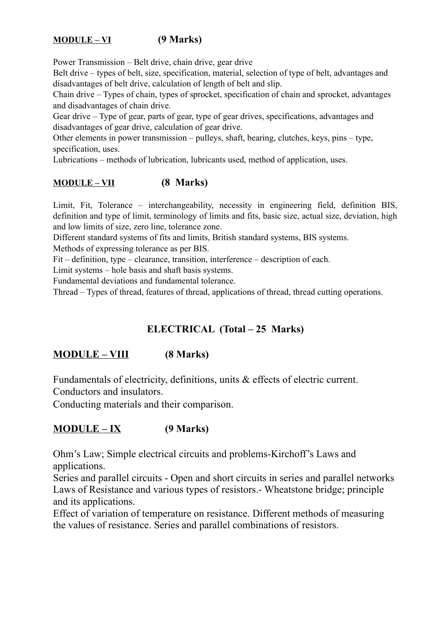# **MODULE – VI (9 Marks)**

Power Transmission – Belt drive, chain drive, gear drive

Belt drive – types of belt, size, specification, material, selection of type of belt, advantages and disadvantages of belt drive, calculation of length of belt and slip.

Chain drive – Types of chain, types of sprocket, specification of chain and sprocket, advantages and disadvantages of chain drive.

Gear drive – Type of gear, parts of gear, type of gear drives, specifications, advantages and disadvantages of gear drive, calculation of gear drive.

Other elements in power transmission – pulleys, shaft, bearing, clutches, keys, pins – type, specification, uses.

Lubrications – methods of lubrication, lubricants used, method of application, uses.

## **MODULE – VII (8 Marks)**

Limit, Fit, Tolerance – interchangeability, necessity in engineering field, definition BIS, definition and type of limit, terminology of limits and fits, basic size, actual size, deviation, high and low limits of size, zero line, tolerance zone.

Different standard systems of fits and limits, British standard systems, BIS systems.

Methods of expressing tolerance as per BIS.

Fit – definition, type – clearance, transition, interference – description of each.

Limit systems – hole basis and shaft basis systems.

Fundamental deviations and fundamental tolerance.

Thread – Types of thread, features of thread, applications of thread, thread cutting operations.

## **ELECTRICAL (Total – 25 Marks)**

## **MODULE – VIII (8 Marks)**

Fundamentals of electricity, definitions, units & effects of electric current. Conductors and insulators.

Conducting materials and their comparison.

## **MODULE – IX (9 Marks)**

Ohm's Law; Simple electrical circuits and problems-Kirchoff's Laws and applications.

Series and parallel circuits - Open and short circuits in series and parallel networks Laws of Resistance and various types of resistors.- Wheatstone bridge; principle and its applications.

Effect of variation of temperature on resistance. Different methods of measuring the values of resistance. Series and parallel combinations of resistors.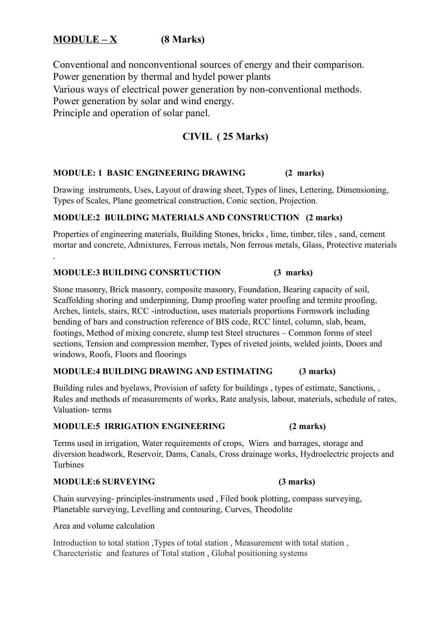# **MODULE – X (8 Marks)**

Conventional and nonconventional sources of energy and their comparison. Power generation by thermal and hydel power plants Various ways of electrical power generation by non-conventional methods. Power generation by solar and wind energy. Principle and operation of solar panel.

## **CIVIL ( 25 Marks)**

#### **MODULE: 1 BASIC ENGINEERING DRAWING (2 marks)**

Drawing instruments, Uses, Layout of drawing sheet, Types of lines, Lettering, Dimensioning, Types of Scales, Plane geometrical construction, Conic section, Projection.

#### **MODULE:2 BUILDING MATERIALS AND CONSTRUCTION (2 marks)**

Properties of engineering materials, Building Stones, bricks , lime, timber, tiles , sand, cement mortar and concrete, Admixtures, Ferrous metals, Non ferrous metals, Glass, Protective materials

#### **MODULE:3 BUILDING CONSRTUCTION (3 marks)**

Stone masonry, Brick masonry, composite masonry, Foundation, Bearing capacity of soil, Scaffolding shoring and underpinning, Damp proofing water proofing and termite proofing, Arches, lintels, stairs, RCC -introduction, uses materials proportions Formwork including bending of bars and construction reference of BIS code, RCC lintel, column, slab, beam, footings, Method of mixing concrete, slump test Steel structures – Common forms of steel sections, Tension and compression member, Types of riveted joints, welded joints, Doors and windows, Roofs, Floors and floorings

### **MODULE:4 BUILDING DRAWING AND ESTIMATING (3 marks)**

Building rules and byelaws, Provision of safety for buildings , types of estimate, Sanctions, , Rules and methods of measurements of works, Rate analysis, labour, materials, schedule of rates, Valuation- terms

#### **MODULE:5 IRRIGATION ENGINEERING (2 marks)**

Terms used in irrigation, Water requirements of crops, Wiers and barrages, storage and diversion headwork, Reservoir, Dams, Canals, Cross drainage works, Hydroelectric projects and Turbines

### **MODULE:6 SURVEYING (3 marks)**

.

Chain surveying- principles-instruments used , Filed book plotting, compass surveying, Planetable surveying, Levelling and contouring, Curves, Theodolite

Area and volume calculation

Introduction to total station , Types of total station , Measurement with total station , Charecteristic and features of Total station , Global positioning systems